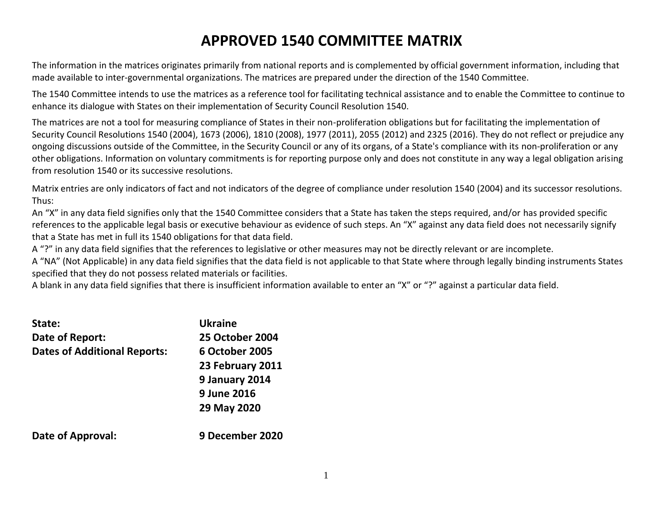# **APPROVED 1540 COMMITTEE MATRIX**

The information in the matrices originates primarily from national reports and is complemented by official government information, including that made available to inter-governmental organizations. The matrices are prepared under the direction of the 1540 Committee.

The 1540 Committee intends to use the matrices as a reference tool for facilitating technical assistance and to enable the Committee to continue to enhance its dialogue with States on their implementation of Security Council Resolution 1540.

The matrices are not a tool for measuring compliance of States in their non-proliferation obligations but for facilitating the implementation of Security Council Resolutions 1540 (2004), 1673 (2006), 1810 (2008), 1977 (2011), 2055 (2012) and 2325 (2016). They do not reflect or prejudice any ongoing discussions outside of the Committee, in the Security Council or any of its organs, of a State's compliance with its non-proliferation or any other obligations. Information on voluntary commitments is for reporting purpose only and does not constitute in any way a legal obligation arising from resolution 1540 or its successive resolutions.

Matrix entries are only indicators of fact and not indicators of the degree of compliance under resolution 1540 (2004) and its successor resolutions. Thus:

An "X" in any data field signifies only that the 1540 Committee considers that a State has taken the steps required, and/or has provided specific references to the applicable legal basis or executive behaviour as evidence of such steps. An "X" against any data field does not necessarily signify that a State has met in full its 1540 obligations for that data field.

A "?" in any data field signifies that the references to legislative or other measures may not be directly relevant or are incomplete.

A "NA" (Not Applicable) in any data field signifies that the data field is not applicable to that State where through legally binding instruments States specified that they do not possess related materials or facilities.

A blank in any data field signifies that there is insufficient information available to enter an "X" or "?" against a particular data field.

| State:                              | <b>Ukraine</b>         |
|-------------------------------------|------------------------|
| Date of Report:                     | <b>25 October 2004</b> |
| <b>Dates of Additional Reports:</b> | <b>6 October 2005</b>  |
|                                     | 23 February 2011       |
|                                     | 9 January 2014         |
|                                     | 9 June 2016            |
|                                     | 29 May 2020            |
| Date of Approval:                   | 9 December 2020        |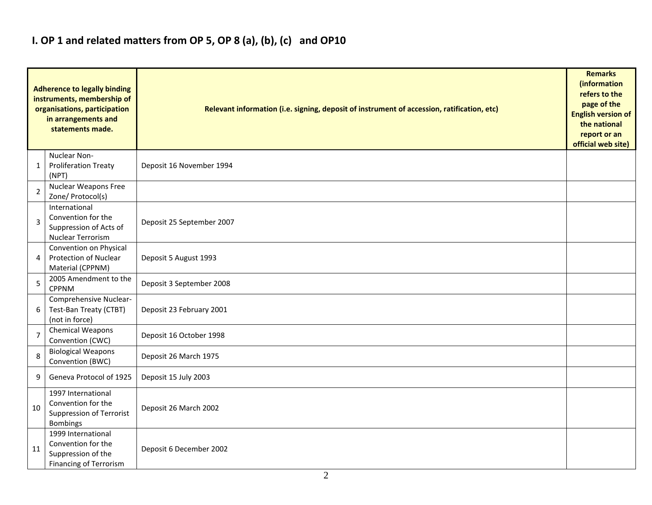## **I. OP 1 and related matters from OP 5, OP 8 (a), (b), (c) and OP10**

| <b>Adherence to legally binding</b><br>instruments, membership of<br>organisations, participation<br>in arrangements and<br>statements made. |                                                                                                 | Relevant information (i.e. signing, deposit of instrument of accession, ratification, etc) |  |  |  |  |  |  |  |  |
|----------------------------------------------------------------------------------------------------------------------------------------------|-------------------------------------------------------------------------------------------------|--------------------------------------------------------------------------------------------|--|--|--|--|--|--|--|--|
| 1                                                                                                                                            | Nuclear Non-<br><b>Proliferation Treaty</b><br>(NPT)                                            | Deposit 16 November 1994                                                                   |  |  |  |  |  |  |  |  |
| $\overline{2}$                                                                                                                               | Nuclear Weapons Free<br>Zone/ Protocol(s)                                                       |                                                                                            |  |  |  |  |  |  |  |  |
| 3                                                                                                                                            | International<br>Convention for the<br>Suppression of Acts of<br>Nuclear Terrorism              | Deposit 25 September 2007                                                                  |  |  |  |  |  |  |  |  |
| 4                                                                                                                                            | Convention on Physical<br><b>Protection of Nuclear</b><br>Material (CPPNM)                      | Deposit 5 August 1993                                                                      |  |  |  |  |  |  |  |  |
| 5                                                                                                                                            | 2005 Amendment to the<br><b>CPPNM</b>                                                           | Deposit 3 September 2008                                                                   |  |  |  |  |  |  |  |  |
| 6                                                                                                                                            | Comprehensive Nuclear-<br>Test-Ban Treaty (CTBT)<br>(not in force)                              | Deposit 23 February 2001                                                                   |  |  |  |  |  |  |  |  |
| $\overline{7}$                                                                                                                               | Chemical Weapons<br>Convention (CWC)                                                            | Deposit 16 October 1998                                                                    |  |  |  |  |  |  |  |  |
| 8                                                                                                                                            | <b>Biological Weapons</b><br>Convention (BWC)                                                   | Deposit 26 March 1975                                                                      |  |  |  |  |  |  |  |  |
| 9                                                                                                                                            | Geneva Protocol of 1925                                                                         | Deposit 15 July 2003                                                                       |  |  |  |  |  |  |  |  |
| 10                                                                                                                                           | 1997 International<br>Convention for the<br>Suppression of Terrorist<br>Bombings                | Deposit 26 March 2002                                                                      |  |  |  |  |  |  |  |  |
| 11                                                                                                                                           | 1999 International<br>Convention for the<br>Suppression of the<br><b>Financing of Terrorism</b> | Deposit 6 December 2002                                                                    |  |  |  |  |  |  |  |  |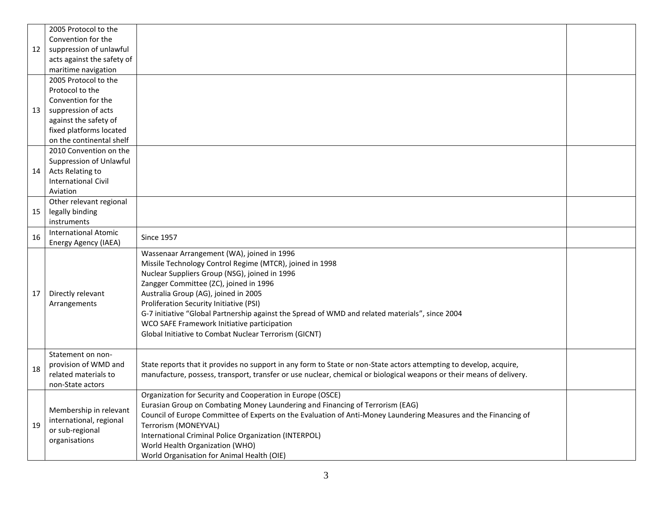|    | 2005 Protocol to the        |                                                                                                                      |  |
|----|-----------------------------|----------------------------------------------------------------------------------------------------------------------|--|
|    | Convention for the          |                                                                                                                      |  |
| 12 | suppression of unlawful     |                                                                                                                      |  |
|    | acts against the safety of  |                                                                                                                      |  |
|    | maritime navigation         |                                                                                                                      |  |
|    | 2005 Protocol to the        |                                                                                                                      |  |
|    | Protocol to the             |                                                                                                                      |  |
|    | Convention for the          |                                                                                                                      |  |
| 13 | suppression of acts         |                                                                                                                      |  |
|    | against the safety of       |                                                                                                                      |  |
|    | fixed platforms located     |                                                                                                                      |  |
|    | on the continental shelf    |                                                                                                                      |  |
|    | 2010 Convention on the      |                                                                                                                      |  |
|    | Suppression of Unlawful     |                                                                                                                      |  |
| 14 | Acts Relating to            |                                                                                                                      |  |
|    | <b>International Civil</b>  |                                                                                                                      |  |
|    | Aviation                    |                                                                                                                      |  |
|    | Other relevant regional     |                                                                                                                      |  |
| 15 | legally binding             |                                                                                                                      |  |
|    | instruments                 |                                                                                                                      |  |
| 16 | <b>International Atomic</b> | <b>Since 1957</b>                                                                                                    |  |
|    | Energy Agency (IAEA)        |                                                                                                                      |  |
|    |                             | Wassenaar Arrangement (WA), joined in 1996                                                                           |  |
|    |                             | Missile Technology Control Regime (MTCR), joined in 1998                                                             |  |
|    |                             | Nuclear Suppliers Group (NSG), joined in 1996                                                                        |  |
|    |                             | Zangger Committee (ZC), joined in 1996                                                                               |  |
| 17 | Directly relevant           | Australia Group (AG), joined in 2005                                                                                 |  |
|    | Arrangements                | Proliferation Security Initiative (PSI)                                                                              |  |
|    |                             | G-7 initiative "Global Partnership against the Spread of WMD and related materials", since 2004                      |  |
|    |                             | WCO SAFE Framework Initiative participation                                                                          |  |
|    |                             | Global Initiative to Combat Nuclear Terrorism (GICNT)                                                                |  |
|    |                             |                                                                                                                      |  |
|    | Statement on non-           |                                                                                                                      |  |
| 18 | provision of WMD and        | State reports that it provides no support in any form to State or non-State actors attempting to develop, acquire,   |  |
|    | related materials to        | manufacture, possess, transport, transfer or use nuclear, chemical or biological weapons or their means of delivery. |  |
|    | non-State actors            |                                                                                                                      |  |
|    |                             | Organization for Security and Cooperation in Europe (OSCE)                                                           |  |
|    | Membership in relevant      | Eurasian Group on Combating Money Laundering and Financing of Terrorism (EAG)                                        |  |
|    | international, regional     | Council of Europe Committee of Experts on the Evaluation of Anti-Money Laundering Measures and the Financing of      |  |
| 19 | or sub-regional             | Terrorism (MONEYVAL)                                                                                                 |  |
|    | organisations               | International Criminal Police Organization (INTERPOL)                                                                |  |
|    |                             | World Health Organization (WHO)                                                                                      |  |
|    |                             | World Organisation for Animal Health (OIE)                                                                           |  |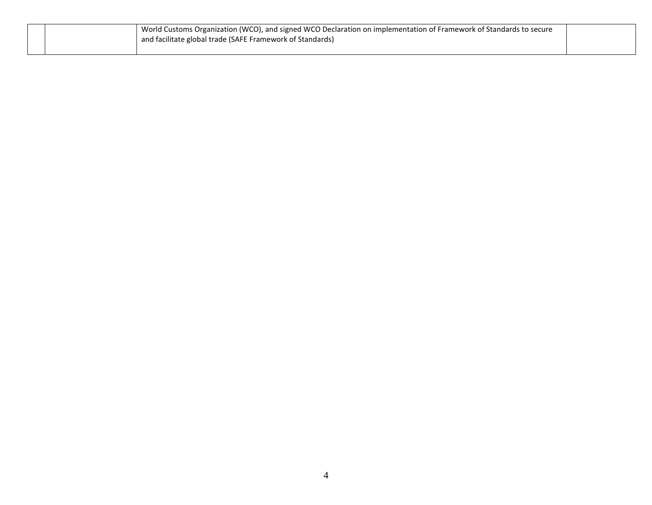|  | World Customs Organization (WCO), and signed WCO Declaration on implementation of Framework of Standards to secure<br>and facilitate global trade (SAFE Framework of Standards) |  |
|--|---------------------------------------------------------------------------------------------------------------------------------------------------------------------------------|--|
|  |                                                                                                                                                                                 |  |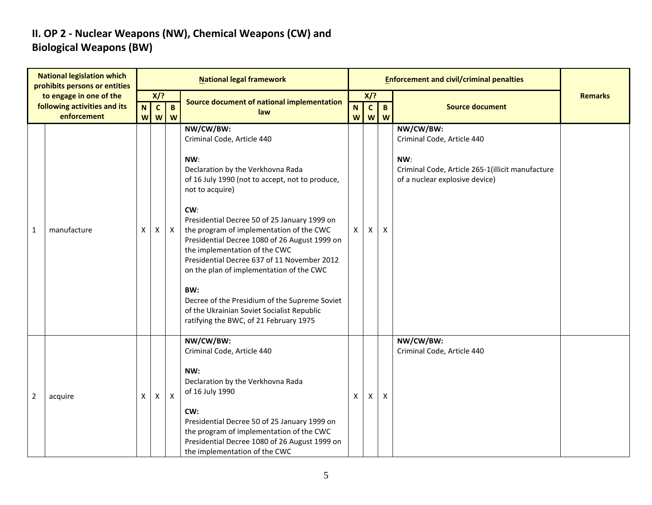### **II. OP 2 - Nuclear Weapons (NW), Chemical Weapons (CW) and Biological Weapons (BW)**

|                | <b>National legislation which</b><br>prohibits persons or entities |                  |                                           |                   | <b>National legal framework</b>                                                                                                                                                                                                                                                                                                                                                                                                                                                                                                                                                           |                |                   |                   | <b>Enforcement and civil/criminal penalties</b>                                                                                      |                |
|----------------|--------------------------------------------------------------------|------------------|-------------------------------------------|-------------------|-------------------------------------------------------------------------------------------------------------------------------------------------------------------------------------------------------------------------------------------------------------------------------------------------------------------------------------------------------------------------------------------------------------------------------------------------------------------------------------------------------------------------------------------------------------------------------------------|----------------|-------------------|-------------------|--------------------------------------------------------------------------------------------------------------------------------------|----------------|
|                | to engage in one of the                                            |                  | X/?                                       |                   | Source document of national implementation                                                                                                                                                                                                                                                                                                                                                                                                                                                                                                                                                |                | X/?               |                   |                                                                                                                                      | <b>Remarks</b> |
|                | following activities and its<br>enforcement                        | $\mathbf N$<br>W | $\mathbf{c}$<br>$\boldsymbol{\mathsf{W}}$ | $\mathbf{B}$<br>W | law                                                                                                                                                                                                                                                                                                                                                                                                                                                                                                                                                                                       | ${\bf N}$<br>W | $\mathbf{c}$<br>W | $\mathbf{B}$<br>W | <b>Source document</b>                                                                                                               |                |
| 1              | manufacture                                                        | X                | X                                         | $\mathsf{X}$      | NW/CW/BW:<br>Criminal Code, Article 440<br>NW:<br>Declaration by the Verkhovna Rada<br>of 16 July 1990 (not to accept, not to produce,<br>not to acquire)<br>CW:<br>Presidential Decree 50 of 25 January 1999 on<br>the program of implementation of the CWC<br>Presidential Decree 1080 of 26 August 1999 on<br>the implementation of the CWC<br>Presidential Decree 637 of 11 November 2012<br>on the plan of implementation of the CWC<br>BW:<br>Decree of the Presidium of the Supreme Soviet<br>of the Ukrainian Soviet Socialist Republic<br>ratifying the BWC, of 21 February 1975 | $\mathsf{X}$   | X                 | X                 | NW/CW/BW:<br>Criminal Code, Article 440<br>NW:<br>Criminal Code, Article 265-1(illicit manufacture<br>of a nuclear explosive device) |                |
| $\overline{2}$ | acquire                                                            | X                | X                                         | $\mathsf{X}$      | NW/CW/BW:<br>Criminal Code, Article 440<br>NW:<br>Declaration by the Verkhovna Rada<br>of 16 July 1990<br>CW:<br>Presidential Decree 50 of 25 January 1999 on<br>the program of implementation of the CWC<br>Presidential Decree 1080 of 26 August 1999 on<br>the implementation of the CWC                                                                                                                                                                                                                                                                                               | X              | X.                | $\mathsf{X}$      | NW/CW/BW:<br>Criminal Code, Article 440                                                                                              |                |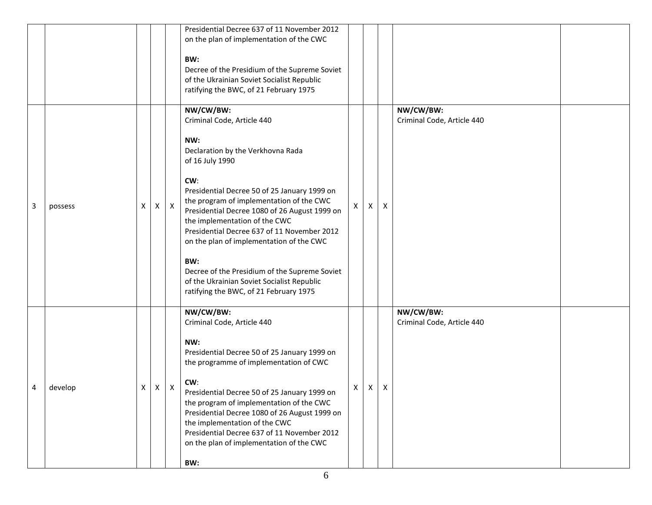|   |         |   |   |            | Presidential Decree 637 of 11 November 2012<br>on the plan of implementation of the CWC<br>BW:<br>Decree of the Presidium of the Supreme Soviet<br>of the Ukrainian Soviet Socialist Republic<br>ratifying the BWC, of 21 February 1975                                                                                                                                                                                                                                                                                                |    |   |   |                                         |  |
|---|---------|---|---|------------|----------------------------------------------------------------------------------------------------------------------------------------------------------------------------------------------------------------------------------------------------------------------------------------------------------------------------------------------------------------------------------------------------------------------------------------------------------------------------------------------------------------------------------------|----|---|---|-----------------------------------------|--|
| 3 | possess | x |   | $x \mid x$ | NW/CW/BW:<br>Criminal Code, Article 440<br>NW:<br>Declaration by the Verkhovna Rada<br>of 16 July 1990<br>CW:<br>Presidential Decree 50 of 25 January 1999 on<br>the program of implementation of the CWC<br>Presidential Decree 1080 of 26 August 1999 on<br>the implementation of the CWC<br>Presidential Decree 637 of 11 November 2012<br>on the plan of implementation of the CWC<br>BW:<br>Decree of the Presidium of the Supreme Soviet<br>of the Ukrainian Soviet Socialist Republic<br>ratifying the BWC, of 21 February 1975 | X. | X | X | NW/CW/BW:<br>Criminal Code, Article 440 |  |
| 4 | develop | х | X | X          | NW/CW/BW:<br>Criminal Code, Article 440<br>NW:<br>Presidential Decree 50 of 25 January 1999 on<br>the programme of implementation of CWC<br>CW:<br>Presidential Decree 50 of 25 January 1999 on<br>the program of implementation of the CWC<br>Presidential Decree 1080 of 26 August 1999 on<br>the implementation of the CWC<br>Presidential Decree 637 of 11 November 2012<br>on the plan of implementation of the CWC<br>BW:                                                                                                        | х  | X | X | NW/CW/BW:<br>Criminal Code, Article 440 |  |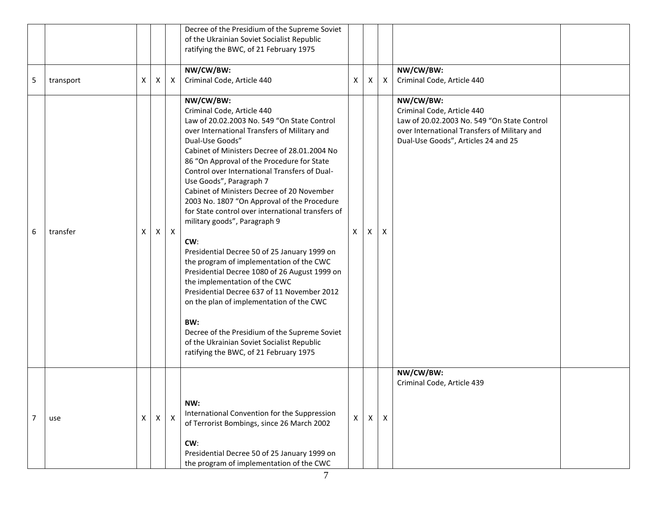|                |           |              |   |              | Decree of the Presidium of the Supreme Soviet<br>of the Ukrainian Soviet Socialist Republic<br>ratifying the BWC, of 21 February 1975                                                                                                                                                                                                                                                                                                                                                                                                                                                                                                                                                                                                                                                                                                                                                                                                                 |   |   |                  |                                                                                                                                                                               |  |
|----------------|-----------|--------------|---|--------------|-------------------------------------------------------------------------------------------------------------------------------------------------------------------------------------------------------------------------------------------------------------------------------------------------------------------------------------------------------------------------------------------------------------------------------------------------------------------------------------------------------------------------------------------------------------------------------------------------------------------------------------------------------------------------------------------------------------------------------------------------------------------------------------------------------------------------------------------------------------------------------------------------------------------------------------------------------|---|---|------------------|-------------------------------------------------------------------------------------------------------------------------------------------------------------------------------|--|
| 5              | transport | X            | Χ | X            | NW/CW/BW:<br>Criminal Code, Article 440                                                                                                                                                                                                                                                                                                                                                                                                                                                                                                                                                                                                                                                                                                                                                                                                                                                                                                               | X | X | $\boldsymbol{X}$ | NW/CW/BW:<br>Criminal Code, Article 440                                                                                                                                       |  |
| 6              | transfer  | X            | X | $\mathsf{X}$ | NW/CW/BW:<br>Criminal Code, Article 440<br>Law of 20.02.2003 No. 549 "On State Control<br>over International Transfers of Military and<br>Dual-Use Goods"<br>Cabinet of Ministers Decree of 28.01.2004 No<br>86 "On Approval of the Procedure for State<br>Control over International Transfers of Dual-<br>Use Goods", Paragraph 7<br>Cabinet of Ministers Decree of 20 November<br>2003 No. 1807 "On Approval of the Procedure<br>for State control over international transfers of<br>military goods", Paragraph 9<br>CW:<br>Presidential Decree 50 of 25 January 1999 on<br>the program of implementation of the CWC<br>Presidential Decree 1080 of 26 August 1999 on<br>the implementation of the CWC<br>Presidential Decree 637 of 11 November 2012<br>on the plan of implementation of the CWC<br>BW:<br>Decree of the Presidium of the Supreme Soviet<br>of the Ukrainian Soviet Socialist Republic<br>ratifying the BWC, of 21 February 1975 | X | X | X                | NW/CW/BW:<br>Criminal Code, Article 440<br>Law of 20.02.2003 No. 549 "On State Control<br>over International Transfers of Military and<br>Dual-Use Goods", Articles 24 and 25 |  |
| $\overline{7}$ | use       | $\mathsf{X}$ | Χ | $\mathsf{X}$ | NW:<br>International Convention for the Suppression<br>of Terrorist Bombings, since 26 March 2002<br>CW:<br>Presidential Decree 50 of 25 January 1999 on<br>the program of implementation of the CWC                                                                                                                                                                                                                                                                                                                                                                                                                                                                                                                                                                                                                                                                                                                                                  | X | X | $\mathsf{X}$     | NW/CW/BW:<br>Criminal Code, Article 439                                                                                                                                       |  |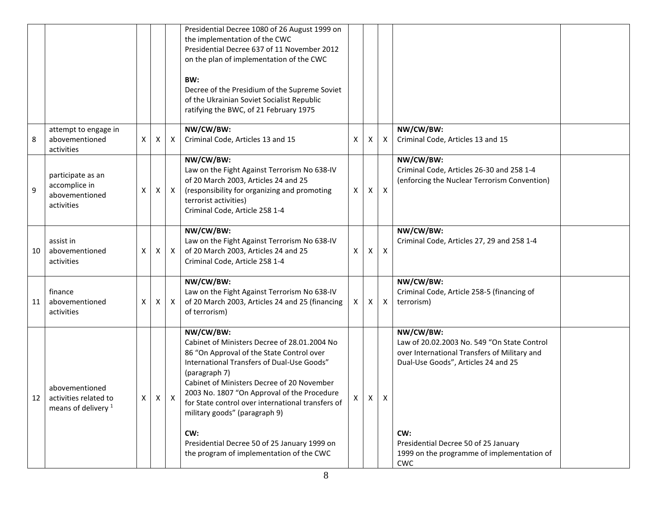|    |                                                                           |              |              |              | Presidential Decree 1080 of 26 August 1999 on<br>the implementation of the CWC<br>Presidential Decree 637 of 11 November 2012<br>on the plan of implementation of the CWC<br>BW:<br>Decree of the Presidium of the Supreme Soviet<br>of the Ukrainian Soviet Socialist Republic<br>ratifying the BWC, of 21 February 1975                                                                                                                                   |          |              |                           |                                                                                                                                                                                                                                                            |  |
|----|---------------------------------------------------------------------------|--------------|--------------|--------------|-------------------------------------------------------------------------------------------------------------------------------------------------------------------------------------------------------------------------------------------------------------------------------------------------------------------------------------------------------------------------------------------------------------------------------------------------------------|----------|--------------|---------------------------|------------------------------------------------------------------------------------------------------------------------------------------------------------------------------------------------------------------------------------------------------------|--|
|    | attempt to engage in                                                      |              |              |              | NW/CW/BW:                                                                                                                                                                                                                                                                                                                                                                                                                                                   |          |              |                           | NW/CW/BW:                                                                                                                                                                                                                                                  |  |
| 8  | abovementioned<br>activities                                              | X            | Χ            | $\mathsf{X}$ | Criminal Code, Articles 13 and 15                                                                                                                                                                                                                                                                                                                                                                                                                           | Χ        | X            | Χ                         | Criminal Code, Articles 13 and 15                                                                                                                                                                                                                          |  |
| 9  | participate as an<br>accomplice in<br>abovementioned<br>activities        | X            | X            | $\mathsf{X}$ | NW/CW/BW:<br>Law on the Fight Against Terrorism No 638-IV<br>of 20 March 2003, Articles 24 and 25<br>(responsibility for organizing and promoting<br>terrorist activities)<br>Criminal Code, Article 258 1-4                                                                                                                                                                                                                                                | $\times$ | X            | $\boldsymbol{\mathsf{X}}$ | NW/CW/BW:<br>Criminal Code, Articles 26-30 and 258 1-4<br>(enforcing the Nuclear Terrorism Convention)                                                                                                                                                     |  |
| 10 | assist in<br>abovementioned<br>activities                                 | Χ            | X            | $\mathsf{X}$ | NW/CW/BW:<br>Law on the Fight Against Terrorism No 638-IV<br>of 20 March 2003, Articles 24 and 25<br>Criminal Code, Article 258 1-4                                                                                                                                                                                                                                                                                                                         | Χ        | X            | $\boldsymbol{\mathsf{X}}$ | NW/CW/BW:<br>Criminal Code, Articles 27, 29 and 258 1-4                                                                                                                                                                                                    |  |
| 11 | finance<br>abovementioned<br>activities                                   | Χ            | X            | $\mathsf{X}$ | NW/CW/BW:<br>Law on the Fight Against Terrorism No 638-IV<br>of 20 March 2003, Articles 24 and 25 (financing<br>of terrorism)                                                                                                                                                                                                                                                                                                                               | X        | X            | $\boldsymbol{\mathsf{X}}$ | NW/CW/BW:<br>Criminal Code, Article 258-5 (financing of<br>terrorism)                                                                                                                                                                                      |  |
| 12 | abovementioned<br>activities related to<br>means of delivery <sup>1</sup> | $\mathsf{X}$ | $\mathsf{X}$ | X            | NW/CW/BW:<br>Cabinet of Ministers Decree of 28.01.2004 No<br>86 "On Approval of the State Control over<br>International Transfers of Dual-Use Goods"<br>(paragraph 7)<br>Cabinet of Ministers Decree of 20 November<br>2003 No. 1807 "On Approval of the Procedure<br>for State control over international transfers of<br>military goods" (paragraph 9)<br>CW:<br>Presidential Decree 50 of 25 January 1999 on<br>the program of implementation of the CWC | X        | $\mathsf{x}$ | $\times$                  | NW/CW/BW:<br>Law of 20.02.2003 No. 549 "On State Control<br>over International Transfers of Military and<br>Dual-Use Goods", Articles 24 and 25<br>CW:<br>Presidential Decree 50 of 25 January<br>1999 on the programme of implementation of<br><b>CWC</b> |  |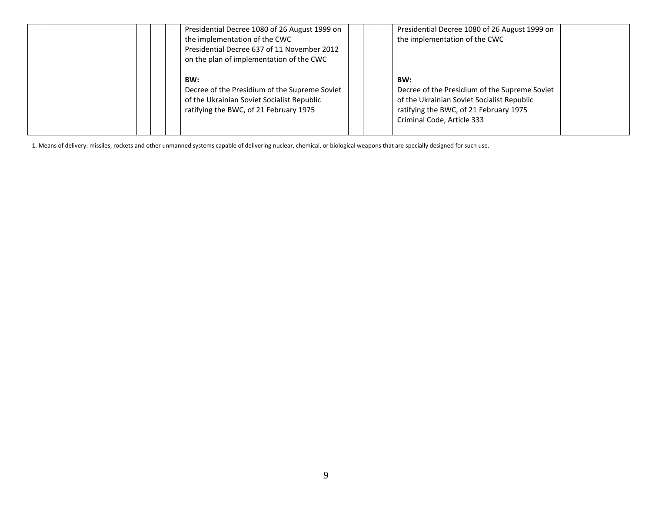|  | Presidential Decree 1080 of 26 August 1999 on<br>the implementation of the CWC<br>Presidential Decree 637 of 11 November 2012<br>on the plan of implementation of the CWC |  | Presidential Decree 1080 of 26 August 1999 on<br>the implementation of the CWC                                                                                             |  |
|--|---------------------------------------------------------------------------------------------------------------------------------------------------------------------------|--|----------------------------------------------------------------------------------------------------------------------------------------------------------------------------|--|
|  | BW:<br>Decree of the Presidium of the Supreme Soviet<br>of the Ukrainian Soviet Socialist Republic<br>ratifying the BWC, of 21 February 1975                              |  | BW:<br>Decree of the Presidium of the Supreme Soviet<br>of the Ukrainian Soviet Socialist Republic<br>ratifying the BWC, of 21 February 1975<br>Criminal Code, Article 333 |  |

1. Means of delivery: missiles, rockets and other unmanned systems capable of delivering nuclear, chemical, or biological weapons that are specially designed for such use.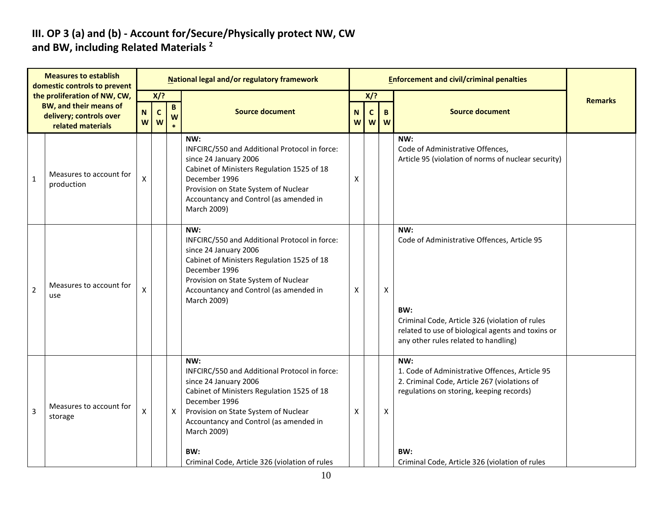#### **III. OP 3 (a) and (b) - Account for/Secure/Physically protect NW, CW and BW, including Related Materials <sup>2</sup>**

|                | <b>Measures to establish</b><br>domestic controls to prevent  |                         |                    |              | National legal and/or regulatory framework                                                                                                                                                                                                                                                             |   |                       |                    | <b>Enforcement and civil/criminal penalties</b>                                                                                                                                                            |                |
|----------------|---------------------------------------------------------------|-------------------------|--------------------|--------------|--------------------------------------------------------------------------------------------------------------------------------------------------------------------------------------------------------------------------------------------------------------------------------------------------------|---|-----------------------|--------------------|------------------------------------------------------------------------------------------------------------------------------------------------------------------------------------------------------------|----------------|
|                | the proliferation of NW, CW,<br><b>BW, and their means of</b> | $\mathbf N$             | X/?<br>$\mathbf c$ | $\mathbf{B}$ | <b>Source document</b>                                                                                                                                                                                                                                                                                 | N | $X$ ?<br>$\mathsf{C}$ | $\mathbf B$        | <b>Source document</b>                                                                                                                                                                                     | <b>Remarks</b> |
|                | delivery; controls over<br>related materials                  | W                       | W                  | W            |                                                                                                                                                                                                                                                                                                        | W | W                     | W                  |                                                                                                                                                                                                            |                |
| $\mathbf{1}$   | Measures to account for<br>production                         | $\pmb{\mathsf{X}}$      |                    |              | NW:<br>INFCIRC/550 and Additional Protocol in force:<br>since 24 January 2006<br>Cabinet of Ministers Regulation 1525 of 18<br>December 1996<br>Provision on State System of Nuclear<br>Accountancy and Control (as amended in<br>March 2009)                                                          | Χ |                       |                    | NW:<br>Code of Administrative Offences,<br>Article 95 (violation of norms of nuclear security)                                                                                                             |                |
| $\overline{2}$ | Measures to account for<br>use                                | X                       |                    |              | NW:<br>INFCIRC/550 and Additional Protocol in force:<br>since 24 January 2006<br>Cabinet of Ministers Regulation 1525 of 18<br>December 1996<br>Provision on State System of Nuclear<br>Accountancy and Control (as amended in<br>March 2009)                                                          | Х |                       | $\pmb{\mathsf{X}}$ | NW:<br>Code of Administrative Offences, Article 95<br>BW:<br>Criminal Code, Article 326 (violation of rules<br>related to use of biological agents and toxins or<br>any other rules related to handling)   |                |
| 3              | Measures to account for<br>storage                            | $\mathsf{\overline{X}}$ |                    | $\mathsf{X}$ | NW:<br>INFCIRC/550 and Additional Protocol in force:<br>since 24 January 2006<br>Cabinet of Ministers Regulation 1525 of 18<br>December 1996<br>Provision on State System of Nuclear<br>Accountancy and Control (as amended in<br>March 2009)<br>BW:<br>Criminal Code, Article 326 (violation of rules | X |                       | Χ                  | NW:<br>1. Code of Administrative Offences, Article 95<br>2. Criminal Code, Article 267 (violations of<br>regulations on storing, keeping records)<br>BW:<br>Criminal Code, Article 326 (violation of rules |                |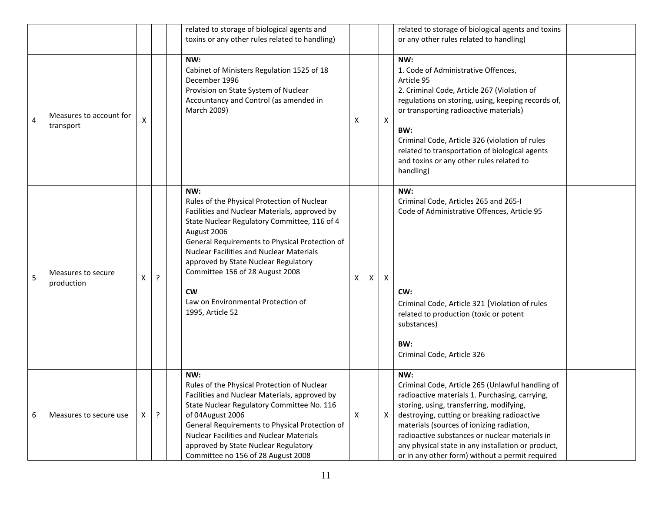|   |                                      |   |   | related to storage of biological agents and<br>toxins or any other rules related to handling)                                                                                                                                                                                                                                                                                                                             |   |   |   | related to storage of biological agents and toxins<br>or any other rules related to handling)                                                                                                                                                                                                                                                                                                                |  |
|---|--------------------------------------|---|---|---------------------------------------------------------------------------------------------------------------------------------------------------------------------------------------------------------------------------------------------------------------------------------------------------------------------------------------------------------------------------------------------------------------------------|---|---|---|--------------------------------------------------------------------------------------------------------------------------------------------------------------------------------------------------------------------------------------------------------------------------------------------------------------------------------------------------------------------------------------------------------------|--|
| 4 | Measures to account for<br>transport | X |   | NW:<br>Cabinet of Ministers Regulation 1525 of 18<br>December 1996<br>Provision on State System of Nuclear<br>Accountancy and Control (as amended in<br>March 2009)                                                                                                                                                                                                                                                       | Х |   | Χ | NW:<br>1. Code of Administrative Offences,<br>Article 95<br>2. Criminal Code, Article 267 (Violation of<br>regulations on storing, using, keeping records of,<br>or transporting radioactive materials)<br>BW:<br>Criminal Code, Article 326 (violation of rules<br>related to transportation of biological agents<br>and toxins or any other rules related to<br>handling)                                  |  |
| 5 | Measures to secure<br>production     | X | ŗ | NW:<br>Rules of the Physical Protection of Nuclear<br>Facilities and Nuclear Materials, approved by<br>State Nuclear Regulatory Committee, 116 of 4<br>August 2006<br>General Requirements to Physical Protection of<br><b>Nuclear Facilities and Nuclear Materials</b><br>approved by State Nuclear Regulatory<br>Committee 156 of 28 August 2008<br><b>CW</b><br>Law on Environmental Protection of<br>1995, Article 52 | X | Χ | X | NW:<br>Criminal Code, Articles 265 and 265-I<br>Code of Administrative Offences, Article 95<br>CW:<br>Criminal Code, Article 321 (Violation of rules<br>related to production (toxic or potent<br>substances)<br>BW:<br>Criminal Code, Article 326                                                                                                                                                           |  |
| 6 | Measures to secure use               | x | ? | NW:<br>Rules of the Physical Protection of Nuclear<br>Facilities and Nuclear Materials, approved by<br>State Nuclear Regulatory Committee No. 116<br>of 04August 2006<br>General Requirements to Physical Protection of<br><b>Nuclear Facilities and Nuclear Materials</b><br>approved by State Nuclear Regulatory<br>Committee no 156 of 28 August 2008                                                                  | Χ |   | X | NW:<br>Criminal Code, Article 265 (Unlawful handling of<br>radioactive materials 1. Purchasing, carrying,<br>storing, using, transferring, modifying,<br>destroying, cutting or breaking radioactive<br>materials (sources of ionizing radiation,<br>radioactive substances or nuclear materials in<br>any physical state in any installation or product,<br>or in any other form) without a permit required |  |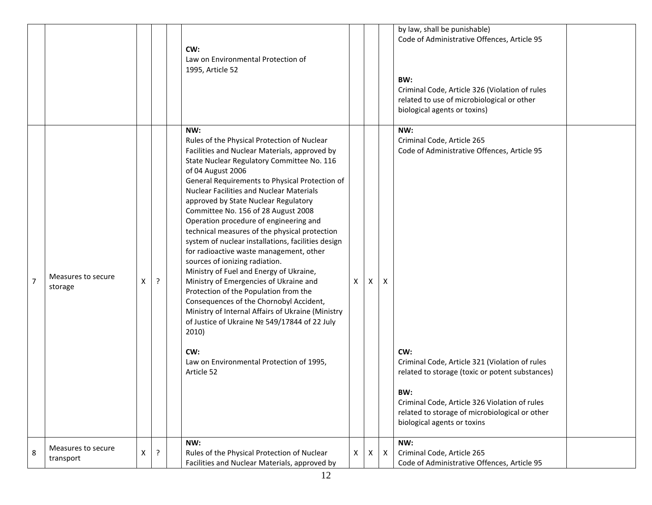|                |                                 |   |         | CW:<br>Law on Environmental Protection of<br>1995, Article 52                                                                                                                                                                                                                                                                                                                                                                                                                                                                                                                                                                                                                                                                                                                                                                                                                                                                                    |   |   |              | by law, shall be punishable)<br>Code of Administrative Offences, Article 95<br>BW:<br>Criminal Code, Article 326 (Violation of rules<br>related to use of microbiological or other<br>biological agents or toxins)                                                                                                                    |  |
|----------------|---------------------------------|---|---------|--------------------------------------------------------------------------------------------------------------------------------------------------------------------------------------------------------------------------------------------------------------------------------------------------------------------------------------------------------------------------------------------------------------------------------------------------------------------------------------------------------------------------------------------------------------------------------------------------------------------------------------------------------------------------------------------------------------------------------------------------------------------------------------------------------------------------------------------------------------------------------------------------------------------------------------------------|---|---|--------------|---------------------------------------------------------------------------------------------------------------------------------------------------------------------------------------------------------------------------------------------------------------------------------------------------------------------------------------|--|
| $\overline{7}$ | Measures to secure<br>storage   | X | $\cdot$ | NW:<br>Rules of the Physical Protection of Nuclear<br>Facilities and Nuclear Materials, approved by<br>State Nuclear Regulatory Committee No. 116<br>of 04 August 2006<br>General Requirements to Physical Protection of<br><b>Nuclear Facilities and Nuclear Materials</b><br>approved by State Nuclear Regulatory<br>Committee No. 156 of 28 August 2008<br>Operation procedure of engineering and<br>technical measures of the physical protection<br>system of nuclear installations, facilities design<br>for radioactive waste management, other<br>sources of ionizing radiation.<br>Ministry of Fuel and Energy of Ukraine,<br>Ministry of Emergencies of Ukraine and<br>Protection of the Population from the<br>Consequences of the Chornobyl Accident,<br>Ministry of Internal Affairs of Ukraine (Ministry<br>of Justice of Ukraine № 549/17844 of 22 July<br>2010)<br>CW:<br>Law on Environmental Protection of 1995,<br>Article 52 | X | X | Χ            | NW:<br>Criminal Code, Article 265<br>Code of Administrative Offences, Article 95<br>CW:<br>Criminal Code, Article 321 (Violation of rules<br>related to storage (toxic or potent substances)<br>BW:<br>Criminal Code, Article 326 Violation of rules<br>related to storage of microbiological or other<br>biological agents or toxins |  |
| 8              | Measures to secure<br>transport | X | ?       | NW:<br>Rules of the Physical Protection of Nuclear<br>Facilities and Nuclear Materials, approved by                                                                                                                                                                                                                                                                                                                                                                                                                                                                                                                                                                                                                                                                                                                                                                                                                                              | X | X | $\mathsf{X}$ | NW:<br>Criminal Code, Article 265<br>Code of Administrative Offences, Article 95                                                                                                                                                                                                                                                      |  |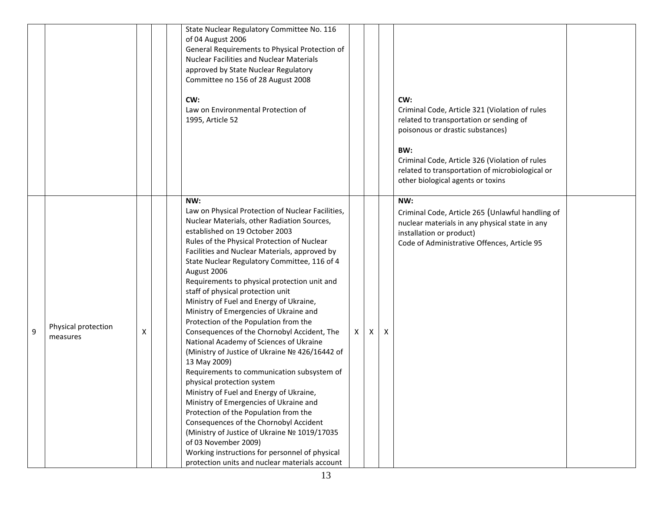|   |                                 |   | State Nuclear Regulatory Committee No. 116<br>of 04 August 2006<br>General Requirements to Physical Protection of<br><b>Nuclear Facilities and Nuclear Materials</b><br>approved by State Nuclear Regulatory<br>Committee no 156 of 28 August 2008<br>CW:<br>Law on Environmental Protection of<br>1995, Article 52                                                                                                                                                                                                                                                                                                                                                                                                                                                                                                                                                                                                                                                                                                                                                                                                     |   |   |   | CW:<br>Criminal Code, Article 321 (Violation of rules<br>related to transportation or sending of<br>poisonous or drastic substances)<br>BW:<br>Criminal Code, Article 326 (Violation of rules<br>related to transportation of microbiological or<br>other biological agents or toxins |  |
|---|---------------------------------|---|-------------------------------------------------------------------------------------------------------------------------------------------------------------------------------------------------------------------------------------------------------------------------------------------------------------------------------------------------------------------------------------------------------------------------------------------------------------------------------------------------------------------------------------------------------------------------------------------------------------------------------------------------------------------------------------------------------------------------------------------------------------------------------------------------------------------------------------------------------------------------------------------------------------------------------------------------------------------------------------------------------------------------------------------------------------------------------------------------------------------------|---|---|---|---------------------------------------------------------------------------------------------------------------------------------------------------------------------------------------------------------------------------------------------------------------------------------------|--|
| 9 | Physical protection<br>measures | х | NW:<br>Law on Physical Protection of Nuclear Facilities,<br>Nuclear Materials, other Radiation Sources,<br>established on 19 October 2003<br>Rules of the Physical Protection of Nuclear<br>Facilities and Nuclear Materials, approved by<br>State Nuclear Regulatory Committee, 116 of 4<br>August 2006<br>Requirements to physical protection unit and<br>staff of physical protection unit<br>Ministry of Fuel and Energy of Ukraine,<br>Ministry of Emergencies of Ukraine and<br>Protection of the Population from the<br>Consequences of the Chornobyl Accident, The<br>National Academy of Sciences of Ukraine<br>(Ministry of Justice of Ukraine № 426/16442 of<br>13 May 2009)<br>Requirements to communication subsystem of<br>physical protection system<br>Ministry of Fuel and Energy of Ukraine,<br>Ministry of Emergencies of Ukraine and<br>Protection of the Population from the<br>Consequences of the Chornobyl Accident<br>(Ministry of Justice of Ukraine № 1019/17035<br>of 03 November 2009)<br>Working instructions for personnel of physical<br>protection units and nuclear materials account | X | Χ | Χ | NW:<br>Criminal Code, Article 265 (Unlawful handling of<br>nuclear materials in any physical state in any<br>installation or product)<br>Code of Administrative Offences, Article 95                                                                                                  |  |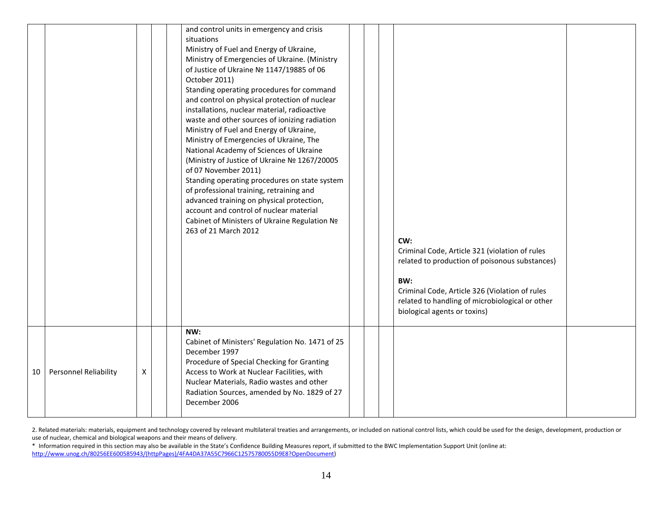|    |                              |   |  | and control units in emergency and crisis<br>situations<br>Ministry of Fuel and Energy of Ukraine,<br>Ministry of Emergencies of Ukraine. (Ministry<br>of Justice of Ukraine Nº 1147/19885 of 06<br>October 2011)<br>Standing operating procedures for command<br>and control on physical protection of nuclear<br>installations, nuclear material, radioactive<br>waste and other sources of ionizing radiation<br>Ministry of Fuel and Energy of Ukraine,<br>Ministry of Emergencies of Ukraine, The<br>National Academy of Sciences of Ukraine<br>(Ministry of Justice of Ukraine № 1267/20005<br>of 07 November 2011)<br>Standing operating procedures on state system<br>of professional training, retraining and<br>advanced training on physical protection,<br>account and control of nuclear material<br>Cabinet of Ministers of Ukraine Regulation Nº<br>263 of 21 March 2012 |  | CW:<br>Criminal Code, Article 321 (violation of rules<br>related to production of poisonous substances)<br>BW:<br>Criminal Code, Article 326 (Violation of rules<br>related to handling of microbiological or other<br>biological agents or toxins) |  |
|----|------------------------------|---|--|-----------------------------------------------------------------------------------------------------------------------------------------------------------------------------------------------------------------------------------------------------------------------------------------------------------------------------------------------------------------------------------------------------------------------------------------------------------------------------------------------------------------------------------------------------------------------------------------------------------------------------------------------------------------------------------------------------------------------------------------------------------------------------------------------------------------------------------------------------------------------------------------|--|-----------------------------------------------------------------------------------------------------------------------------------------------------------------------------------------------------------------------------------------------------|--|
| 10 | <b>Personnel Reliability</b> | X |  | NW:<br>Cabinet of Ministers' Regulation No. 1471 of 25<br>December 1997<br>Procedure of Special Checking for Granting<br>Access to Work at Nuclear Facilities, with<br>Nuclear Materials, Radio wastes and other<br>Radiation Sources, amended by No. 1829 of 27<br>December 2006                                                                                                                                                                                                                                                                                                                                                                                                                                                                                                                                                                                                       |  |                                                                                                                                                                                                                                                     |  |

2. Related materials: materials, equipment and technology covered by relevant multilateral treaties and arrangements, or included on national control lists, which could be used for the design, development, production or use of nuclear, chemical and biological weapons and their means of delivery.

\* Information required in this section may also be available in the State's Confidence Building Measures report, if submitted to the BWC Implementation Support Unit (online at: [http://www.unog.ch/80256EE600585943/\(httpPages\)/4FA4DA37A55C7966C12575780055D9E8?OpenDocument\)](http://www.unog.ch/80256EE600585943/(httpPages)/4FA4DA37A55C7966C12575780055D9E8?OpenDocument)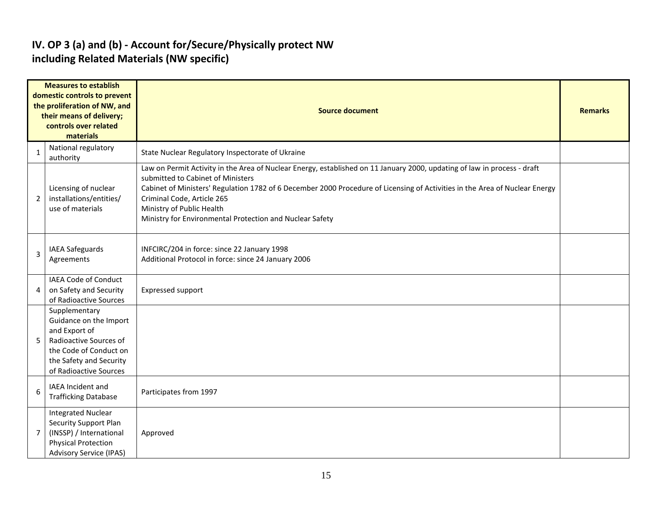#### **IV. OP 3 (a) and (b) - Account for/Secure/Physically protect NW including Related Materials (NW specific)**

| <b>Measures to establish</b><br>domestic controls to prevent<br>the proliferation of NW, and<br>their means of delivery;<br>controls over related<br>materials |                                                                                                                                                                   | <b>Source document</b>                                                                                                                                                                                                                                                                                                                                                                                              |  |  |  |  |  |  |  |  |
|----------------------------------------------------------------------------------------------------------------------------------------------------------------|-------------------------------------------------------------------------------------------------------------------------------------------------------------------|---------------------------------------------------------------------------------------------------------------------------------------------------------------------------------------------------------------------------------------------------------------------------------------------------------------------------------------------------------------------------------------------------------------------|--|--|--|--|--|--|--|--|
| $\mathbf{1}$                                                                                                                                                   | National regulatory<br>authority                                                                                                                                  | State Nuclear Regulatory Inspectorate of Ukraine                                                                                                                                                                                                                                                                                                                                                                    |  |  |  |  |  |  |  |  |
| $\overline{2}$                                                                                                                                                 | Licensing of nuclear<br>installations/entities/<br>use of materials                                                                                               | Law on Permit Activity in the Area of Nuclear Energy, established on 11 January 2000, updating of law in process - draft<br>submitted to Cabinet of Ministers<br>Cabinet of Ministers' Regulation 1782 of 6 December 2000 Procedure of Licensing of Activities in the Area of Nuclear Energy<br>Criminal Code, Article 265<br>Ministry of Public Health<br>Ministry for Environmental Protection and Nuclear Safety |  |  |  |  |  |  |  |  |
| 3                                                                                                                                                              | <b>IAEA Safeguards</b><br>Agreements                                                                                                                              | INFCIRC/204 in force: since 22 January 1998<br>Additional Protocol in force: since 24 January 2006                                                                                                                                                                                                                                                                                                                  |  |  |  |  |  |  |  |  |
| 4                                                                                                                                                              | IAEA Code of Conduct<br>on Safety and Security<br>of Radioactive Sources                                                                                          | <b>Expressed support</b>                                                                                                                                                                                                                                                                                                                                                                                            |  |  |  |  |  |  |  |  |
| 5                                                                                                                                                              | Supplementary<br>Guidance on the Import<br>and Export of<br>Radioactive Sources of<br>the Code of Conduct on<br>the Safety and Security<br>of Radioactive Sources |                                                                                                                                                                                                                                                                                                                                                                                                                     |  |  |  |  |  |  |  |  |
| 6                                                                                                                                                              | <b>IAEA</b> Incident and<br><b>Trafficking Database</b>                                                                                                           | Participates from 1997                                                                                                                                                                                                                                                                                                                                                                                              |  |  |  |  |  |  |  |  |
| 7                                                                                                                                                              | <b>Integrated Nuclear</b><br><b>Security Support Plan</b><br>(INSSP) / International<br><b>Physical Protection</b><br><b>Advisory Service (IPAS)</b>              | Approved                                                                                                                                                                                                                                                                                                                                                                                                            |  |  |  |  |  |  |  |  |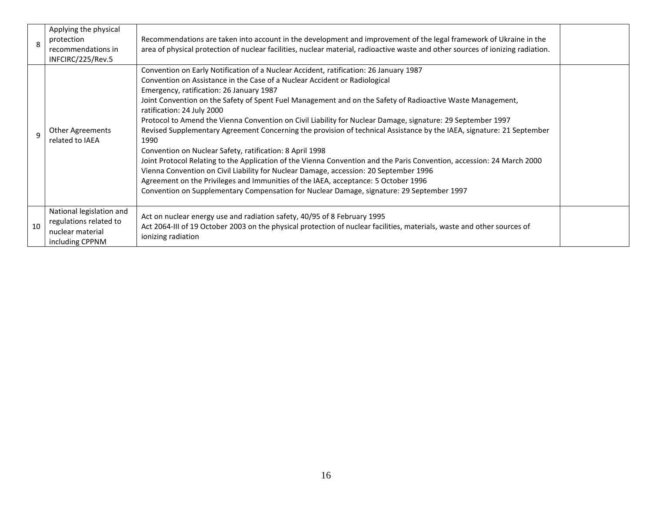|    | Applying the physical<br>protection<br>recommendations in<br>INFCIRC/225/Rev.5            | Recommendations are taken into account in the development and improvement of the legal framework of Ukraine in the<br>area of physical protection of nuclear facilities, nuclear material, radioactive waste and other sources of ionizing radiation.                                                                                                                                                                                                                                                                                                                                                                                                                                                                                                                                                                                                                                                                                                                                                                                                                         |  |
|----|-------------------------------------------------------------------------------------------|-------------------------------------------------------------------------------------------------------------------------------------------------------------------------------------------------------------------------------------------------------------------------------------------------------------------------------------------------------------------------------------------------------------------------------------------------------------------------------------------------------------------------------------------------------------------------------------------------------------------------------------------------------------------------------------------------------------------------------------------------------------------------------------------------------------------------------------------------------------------------------------------------------------------------------------------------------------------------------------------------------------------------------------------------------------------------------|--|
| q  | Other Agreements<br>related to IAEA                                                       | Convention on Early Notification of a Nuclear Accident, ratification: 26 January 1987<br>Convention on Assistance in the Case of a Nuclear Accident or Radiological<br>Emergency, ratification: 26 January 1987<br>Joint Convention on the Safety of Spent Fuel Management and on the Safety of Radioactive Waste Management,<br>ratification: 24 July 2000<br>Protocol to Amend the Vienna Convention on Civil Liability for Nuclear Damage, signature: 29 September 1997<br>Revised Supplementary Agreement Concerning the provision of technical Assistance by the IAEA, signature: 21 September<br>1990<br>Convention on Nuclear Safety, ratification: 8 April 1998<br>Joint Protocol Relating to the Application of the Vienna Convention and the Paris Convention, accession: 24 March 2000<br>Vienna Convention on Civil Liability for Nuclear Damage, accession: 20 September 1996<br>Agreement on the Privileges and Immunities of the IAEA, acceptance: 5 October 1996<br>Convention on Supplementary Compensation for Nuclear Damage, signature: 29 September 1997 |  |
| 10 | National legislation and<br>regulations related to<br>nuclear material<br>including CPPNM | Act on nuclear energy use and radiation safety, 40/95 of 8 February 1995<br>Act 2064-III of 19 October 2003 on the physical protection of nuclear facilities, materials, waste and other sources of<br>ionizing radiation                                                                                                                                                                                                                                                                                                                                                                                                                                                                                                                                                                                                                                                                                                                                                                                                                                                     |  |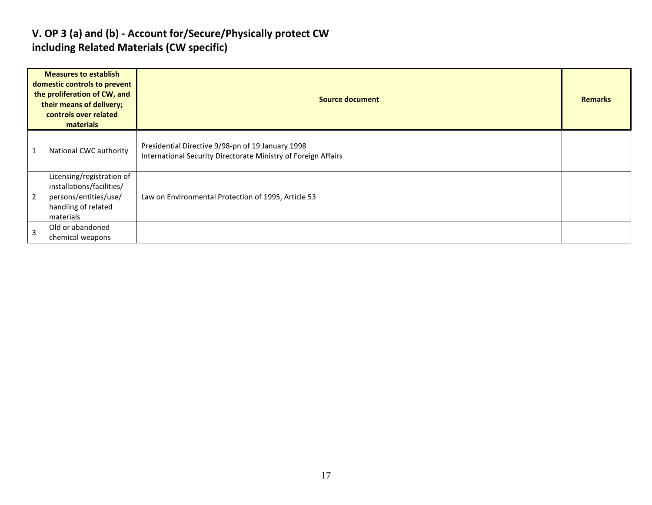#### **V. OP 3 (a) and (b) - Account for/Secure/Physically protect CW including Related Materials (CW specific)**

| <b>Measures to establish</b><br>domestic controls to prevent<br>the proliferation of CW, and<br>their means of delivery;<br>controls over related<br>materials |                                                                                                                     | <b>Source document</b>                                                                                              |  |  |  |  |  |  |
|----------------------------------------------------------------------------------------------------------------------------------------------------------------|---------------------------------------------------------------------------------------------------------------------|---------------------------------------------------------------------------------------------------------------------|--|--|--|--|--|--|
|                                                                                                                                                                | National CWC authority                                                                                              | Presidential Directive 9/98-pn of 19 January 1998<br>International Security Directorate Ministry of Foreign Affairs |  |  |  |  |  |  |
| $\overline{2}$                                                                                                                                                 | Licensing/registration of<br>installations/facilities/<br>persons/entities/use/<br>handling of related<br>materials | Law on Environmental Protection of 1995, Article 53                                                                 |  |  |  |  |  |  |
| 3                                                                                                                                                              | Old or abandoned<br>chemical weapons                                                                                |                                                                                                                     |  |  |  |  |  |  |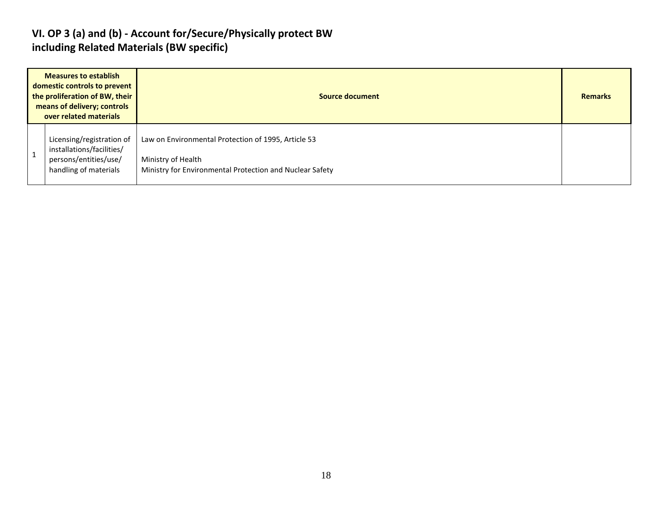#### **VI. OP 3 (a) and (b) - Account for/Secure/Physically protect BW including Related Materials (BW specific)**

| <b>Measures to establish</b><br>domestic controls to prevent<br>the proliferation of BW, their<br>means of delivery; controls<br>over related materials |                                                                                                          | <b>Source document</b>                                                                                                                |  |  |  |  |  |
|---------------------------------------------------------------------------------------------------------------------------------------------------------|----------------------------------------------------------------------------------------------------------|---------------------------------------------------------------------------------------------------------------------------------------|--|--|--|--|--|
|                                                                                                                                                         | Licensing/registration of<br>installations/facilities/<br>persons/entities/use/<br>handling of materials | Law on Environmental Protection of 1995, Article 53<br>Ministry of Health<br>Ministry for Environmental Protection and Nuclear Safety |  |  |  |  |  |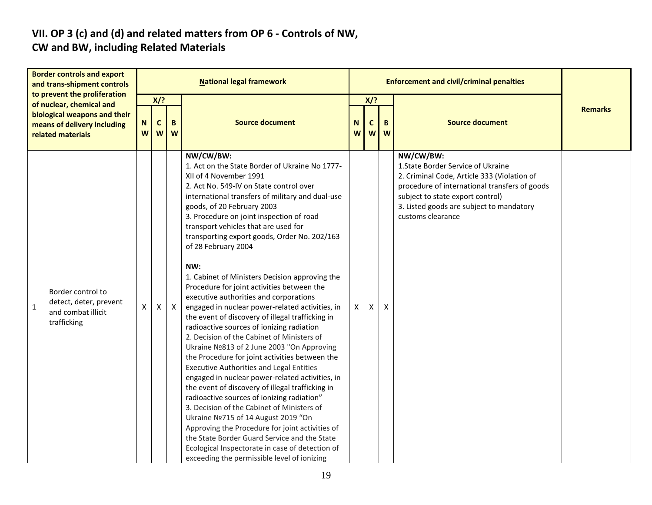# **VII. OP 3 (c) and (d) and related matters from OP 6 - Controls of NW,**

### **CW and BW, including Related Materials**

| <b>Border controls and export</b><br>and trans-shipment controls<br>to prevent the proliferation<br>of nuclear, chemical and<br>biological weapons and their<br>means of delivery including<br>related materials |                                                                                  | <b>National legal framework</b> |                                     |              |                                                                                                                                                                                                                                                                                                                                                                                                                                                                                                                                                                                                                                                                                                                                                                                                                                                                                                                                                                                                                                                                                                                                                                                                                                                                                                                                    |        |                 | <b>Enforcement and civil/criminal penalties</b> |                                                                                                                                                                                                                                                      |                |  |  |
|------------------------------------------------------------------------------------------------------------------------------------------------------------------------------------------------------------------|----------------------------------------------------------------------------------|---------------------------------|-------------------------------------|--------------|------------------------------------------------------------------------------------------------------------------------------------------------------------------------------------------------------------------------------------------------------------------------------------------------------------------------------------------------------------------------------------------------------------------------------------------------------------------------------------------------------------------------------------------------------------------------------------------------------------------------------------------------------------------------------------------------------------------------------------------------------------------------------------------------------------------------------------------------------------------------------------------------------------------------------------------------------------------------------------------------------------------------------------------------------------------------------------------------------------------------------------------------------------------------------------------------------------------------------------------------------------------------------------------------------------------------------------|--------|-----------------|-------------------------------------------------|------------------------------------------------------------------------------------------------------------------------------------------------------------------------------------------------------------------------------------------------------|----------------|--|--|
|                                                                                                                                                                                                                  |                                                                                  | N<br>W                          | $X$ ?<br>B<br>$\mathbf c$<br>W<br>W |              | <b>Source document</b>                                                                                                                                                                                                                                                                                                                                                                                                                                                                                                                                                                                                                                                                                                                                                                                                                                                                                                                                                                                                                                                                                                                                                                                                                                                                                                             | N<br>W | $X$ ?<br>C<br>W | B<br>W                                          | <b>Source document</b>                                                                                                                                                                                                                               | <b>Remarks</b> |  |  |
| $\mathbf{1}$                                                                                                                                                                                                     | Border control to<br>detect, deter, prevent<br>and combat illicit<br>trafficking | X                               | X                                   | $\mathsf{X}$ | NW/CW/BW:<br>1. Act on the State Border of Ukraine No 1777-<br>XII of 4 November 1991<br>2. Act No. 549-IV on State control over<br>international transfers of military and dual-use<br>goods, of 20 February 2003<br>3. Procedure on joint inspection of road<br>transport vehicles that are used for<br>transporting export goods, Order No. 202/163<br>of 28 February 2004<br>NW:<br>1. Cabinet of Ministers Decision approving the<br>Procedure for joint activities between the<br>executive authorities and corporations<br>engaged in nuclear power-related activities, in<br>the event of discovery of illegal trafficking in<br>radioactive sources of ionizing radiation<br>2. Decision of the Cabinet of Ministers of<br>Ukraine Nº813 of 2 June 2003 "On Approving<br>the Procedure for joint activities between the<br><b>Executive Authorities and Legal Entities</b><br>engaged in nuclear power-related activities, in<br>the event of discovery of illegal trafficking in<br>radioactive sources of ionizing radiation"<br>3. Decision of the Cabinet of Ministers of<br>Ukraine Nº715 of 14 August 2019 "On<br>Approving the Procedure for joint activities of<br>the State Border Guard Service and the State<br>Ecological Inspectorate in case of detection of<br>exceeding the permissible level of ionizing | X      | X               | X                                               | NW/CW/BW:<br>1. State Border Service of Ukraine<br>2. Criminal Code, Article 333 (Violation of<br>procedure of international transfers of goods<br>subject to state export control)<br>3. Listed goods are subject to mandatory<br>customs clearance |                |  |  |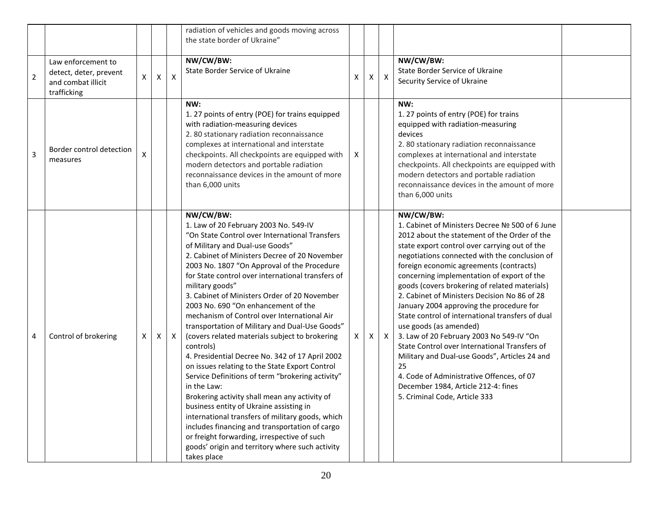|                |                                                                                   |   |   |              | radiation of vehicles and goods moving across<br>the state border of Ukraine"                                                                                                                                                                                                                                                                                                                                                                                                                                                                                                                                                                                                                                                                                                                                                                                                                                                                                                                                                                                     |   |   |              |                                                                                                                                                                                                                                                                                                                                                                                                                                                                                                                                                                                                                                                                                                                                                                                                             |  |
|----------------|-----------------------------------------------------------------------------------|---|---|--------------|-------------------------------------------------------------------------------------------------------------------------------------------------------------------------------------------------------------------------------------------------------------------------------------------------------------------------------------------------------------------------------------------------------------------------------------------------------------------------------------------------------------------------------------------------------------------------------------------------------------------------------------------------------------------------------------------------------------------------------------------------------------------------------------------------------------------------------------------------------------------------------------------------------------------------------------------------------------------------------------------------------------------------------------------------------------------|---|---|--------------|-------------------------------------------------------------------------------------------------------------------------------------------------------------------------------------------------------------------------------------------------------------------------------------------------------------------------------------------------------------------------------------------------------------------------------------------------------------------------------------------------------------------------------------------------------------------------------------------------------------------------------------------------------------------------------------------------------------------------------------------------------------------------------------------------------------|--|
| $\mathbf 2$    | Law enforcement to<br>detect, deter, prevent<br>and combat illicit<br>trafficking | X | X | X            | NW/CW/BW:<br>State Border Service of Ukraine                                                                                                                                                                                                                                                                                                                                                                                                                                                                                                                                                                                                                                                                                                                                                                                                                                                                                                                                                                                                                      | X | X | $\mathsf{X}$ | NW/CW/BW:<br>State Border Service of Ukraine<br>Security Service of Ukraine                                                                                                                                                                                                                                                                                                                                                                                                                                                                                                                                                                                                                                                                                                                                 |  |
| $\overline{3}$ | Border control detection<br>measures                                              |   |   |              | NW:<br>1. 27 points of entry (POE) for trains equipped<br>with radiation-measuring devices<br>2.80 stationary radiation reconnaissance<br>complexes at international and interstate<br>checkpoints. All checkpoints are equipped with<br>modern detectors and portable radiation<br>reconnaissance devices in the amount of more<br>than 6,000 units                                                                                                                                                                                                                                                                                                                                                                                                                                                                                                                                                                                                                                                                                                              | X |   |              | NW:<br>1. 27 points of entry (POE) for trains<br>equipped with radiation-measuring<br>devices<br>2.80 stationary radiation reconnaissance<br>complexes at international and interstate<br>checkpoints. All checkpoints are equipped with<br>modern detectors and portable radiation<br>reconnaissance devices in the amount of more<br>than 6,000 units                                                                                                                                                                                                                                                                                                                                                                                                                                                     |  |
| 4              | Control of brokering                                                              | X | X | $\mathsf{X}$ | NW/CW/BW:<br>1. Law of 20 February 2003 No. 549-IV<br>"On State Control over International Transfers<br>of Military and Dual-use Goods"<br>2. Cabinet of Ministers Decree of 20 November<br>2003 No. 1807 "On Approval of the Procedure<br>for State control over international transfers of<br>military goods"<br>3. Cabinet of Ministers Order of 20 November<br>2003 No. 690 "On enhancement of the<br>mechanism of Control over International Air<br>transportation of Military and Dual-Use Goods"<br>(covers related materials subject to brokering<br>controls)<br>4. Presidential Decree No. 342 of 17 April 2002<br>on issues relating to the State Export Control<br>Service Definitions of term "brokering activity"<br>in the Law:<br>Brokering activity shall mean any activity of<br>business entity of Ukraine assisting in<br>international transfers of military goods, which<br>includes financing and transportation of cargo<br>or freight forwarding, irrespective of such<br>goods' origin and territory where such activity<br>takes place | X | X | $\mathsf{X}$ | NW/CW/BW:<br>1. Cabinet of Ministers Decree Nº 500 of 6 June<br>2012 about the statement of the Order of the<br>state export control over carrying out of the<br>negotiations connected with the conclusion of<br>foreign economic agreements (contracts)<br>concerning implementation of export of the<br>goods (covers brokering of related materials)<br>2. Cabinet of Ministers Decision No 86 of 28<br>January 2004 approving the procedure for<br>State control of international transfers of dual<br>use goods (as amended)<br>3. Law of 20 February 2003 No 549-IV "On<br>State Control over International Transfers of<br>Military and Dual-use Goods", Articles 24 and<br>25<br>4. Code of Administrative Offences, of 07<br>December 1984, Article 212-4: fines<br>5. Criminal Code, Article 333 |  |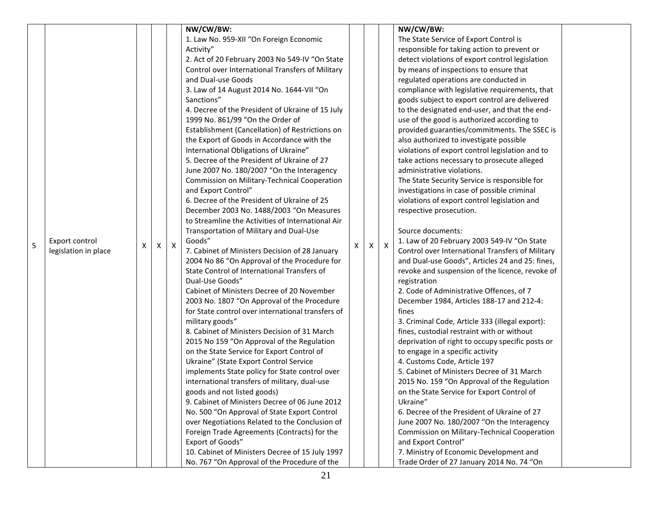|   |                      |   |   |                           | NW/CW/BW:                                         |   |   |   | NW/CW/BW:                                        |  |
|---|----------------------|---|---|---------------------------|---------------------------------------------------|---|---|---|--------------------------------------------------|--|
|   |                      |   |   |                           | 1. Law No. 959-XII "On Foreign Economic           |   |   |   | The State Service of Export Control is           |  |
|   |                      |   |   |                           | Activity"                                         |   |   |   | responsible for taking action to prevent or      |  |
|   |                      |   |   |                           | 2. Act of 20 February 2003 No 549-IV "On State    |   |   |   | detect violations of export control legislation  |  |
|   |                      |   |   |                           | Control over International Transfers of Military  |   |   |   |                                                  |  |
|   |                      |   |   |                           |                                                   |   |   |   | by means of inspections to ensure that           |  |
|   |                      |   |   |                           | and Dual-use Goods                                |   |   |   | regulated operations are conducted in            |  |
|   |                      |   |   |                           | 3. Law of 14 August 2014 No. 1644-VII "On         |   |   |   | compliance with legislative requirements, that   |  |
|   |                      |   |   |                           | Sanctions"                                        |   |   |   | goods subject to export control are delivered    |  |
|   |                      |   |   |                           | 4. Decree of the President of Ukraine of 15 July  |   |   |   | to the designated end-user, and that the end-    |  |
|   |                      |   |   |                           | 1999 No. 861/99 "On the Order of                  |   |   |   | use of the good is authorized according to       |  |
|   |                      |   |   |                           | Establishment (Cancellation) of Restrictions on   |   |   |   | provided guaranties/commitments. The SSEC is     |  |
|   |                      |   |   |                           | the Export of Goods in Accordance with the        |   |   |   | also authorized to investigate possible          |  |
|   |                      |   |   |                           | International Obligations of Ukraine"             |   |   |   | violations of export control legislation and to  |  |
|   |                      |   |   |                           | 5. Decree of the President of Ukraine of 27       |   |   |   | take actions necessary to prosecute alleged      |  |
|   |                      |   |   |                           | June 2007 No. 180/2007 "On the Interagency        |   |   |   | administrative violations.                       |  |
|   |                      |   |   |                           | Commission on Military-Technical Cooperation      |   |   |   | The State Security Service is responsible for    |  |
|   |                      |   |   |                           | and Export Control"                               |   |   |   | investigations in case of possible criminal      |  |
|   |                      |   |   |                           | 6. Decree of the President of Ukraine of 25       |   |   |   | violations of export control legislation and     |  |
|   |                      |   |   |                           | December 2003 No. 1488/2003 "On Measures          |   |   |   | respective prosecution.                          |  |
|   |                      |   |   |                           | to Streamline the Activities of International Air |   |   |   |                                                  |  |
|   |                      |   |   |                           | Transportation of Military and Dual-Use           |   |   |   | Source documents:                                |  |
| 5 | Export control       | X | X | $\boldsymbol{\mathsf{X}}$ | Goods"                                            | X | X | X | 1. Law of 20 February 2003 549-IV "On State      |  |
|   | legislation in place |   |   |                           | 7. Cabinet of Ministers Decision of 28 January    |   |   |   | Control over International Transfers of Military |  |
|   |                      |   |   |                           | 2004 No 86 "On Approval of the Procedure for      |   |   |   | and Dual-use Goods", Articles 24 and 25: fines,  |  |
|   |                      |   |   |                           | State Control of International Transfers of       |   |   |   | revoke and suspension of the licence, revoke of  |  |
|   |                      |   |   |                           | Dual-Use Goods"                                   |   |   |   | registration                                     |  |
|   |                      |   |   |                           | Cabinet of Ministers Decree of 20 November        |   |   |   | 2. Code of Administrative Offences, of 7         |  |
|   |                      |   |   |                           | 2003 No. 1807 "On Approval of the Procedure       |   |   |   | December 1984, Articles 188-17 and 212-4:        |  |
|   |                      |   |   |                           | for State control over international transfers of |   |   |   | fines                                            |  |
|   |                      |   |   |                           | military goods"                                   |   |   |   | 3. Criminal Code, Article 333 (illegal export):  |  |
|   |                      |   |   |                           | 8. Cabinet of Ministers Decision of 31 March      |   |   |   | fines, custodial restraint with or without       |  |
|   |                      |   |   |                           | 2015 No 159 "On Approval of the Regulation        |   |   |   | deprivation of right to occupy specific posts or |  |
|   |                      |   |   |                           | on the State Service for Export Control of        |   |   |   | to engage in a specific activity                 |  |
|   |                      |   |   |                           | Ukraine" (State Export Control Service            |   |   |   | 4. Customs Code, Article 197                     |  |
|   |                      |   |   |                           | implements State policy for State control over    |   |   |   | 5. Cabinet of Ministers Decree of 31 March       |  |
|   |                      |   |   |                           | international transfers of military, dual-use     |   |   |   | 2015 No. 159 "On Approval of the Regulation      |  |
|   |                      |   |   |                           | goods and not listed goods)                       |   |   |   | on the State Service for Export Control of       |  |
|   |                      |   |   |                           | 9. Cabinet of Ministers Decree of 06 June 2012    |   |   |   | Ukraine"                                         |  |
|   |                      |   |   |                           | No. 500 "On Approval of State Export Control      |   |   |   | 6. Decree of the President of Ukraine of 27      |  |
|   |                      |   |   |                           | over Negotiations Related to the Conclusion of    |   |   |   | June 2007 No. 180/2007 "On the Interagency       |  |
|   |                      |   |   |                           | Foreign Trade Agreements (Contracts) for the      |   |   |   | Commission on Military-Technical Cooperation     |  |
|   |                      |   |   |                           | Export of Goods"                                  |   |   |   | and Export Control"                              |  |
|   |                      |   |   |                           | 10. Cabinet of Ministers Decree of 15 July 1997   |   |   |   | 7. Ministry of Economic Development and          |  |
|   |                      |   |   |                           | No. 767 "On Approval of the Procedure of the      |   |   |   | Trade Order of 27 January 2014 No. 74 "On        |  |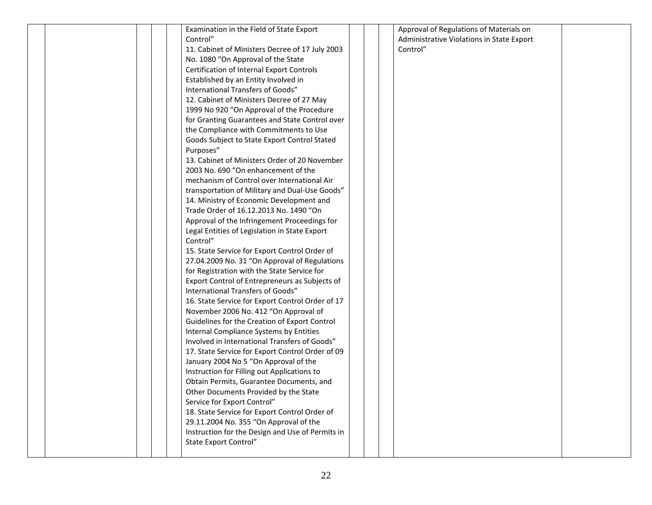| Examination in the Field of State Export         | Approval of Regulations of Materials on   |  |
|--------------------------------------------------|-------------------------------------------|--|
| Control"                                         | Administrative Violations in State Export |  |
| 11. Cabinet of Ministers Decree of 17 July 2003  | Control"                                  |  |
| No. 1080 "On Approval of the State               |                                           |  |
| Certification of Internal Export Controls        |                                           |  |
| Established by an Entity Involved in             |                                           |  |
| International Transfers of Goods"                |                                           |  |
| 12. Cabinet of Ministers Decree of 27 May        |                                           |  |
| 1999 No 920 "On Approval of the Procedure        |                                           |  |
| for Granting Guarantees and State Control over   |                                           |  |
| the Compliance with Commitments to Use           |                                           |  |
| Goods Subject to State Export Control Stated     |                                           |  |
| Purposes"                                        |                                           |  |
| 13. Cabinet of Ministers Order of 20 November    |                                           |  |
| 2003 No. 690 "On enhancement of the              |                                           |  |
| mechanism of Control over International Air      |                                           |  |
| transportation of Military and Dual-Use Goods"   |                                           |  |
| 14. Ministry of Economic Development and         |                                           |  |
| Trade Order of 16.12.2013 No. 1490 "On           |                                           |  |
| Approval of the Infringement Proceedings for     |                                           |  |
| Legal Entities of Legislation in State Export    |                                           |  |
| Control"                                         |                                           |  |
| 15. State Service for Export Control Order of    |                                           |  |
| 27.04.2009 No. 31 "On Approval of Regulations    |                                           |  |
| for Registration with the State Service for      |                                           |  |
| Export Control of Entrepreneurs as Subjects of   |                                           |  |
| International Transfers of Goods"                |                                           |  |
| 16. State Service for Export Control Order of 17 |                                           |  |
| November 2006 No. 412 "On Approval of            |                                           |  |
| Guidelines for the Creation of Export Control    |                                           |  |
| Internal Compliance Systems by Entities          |                                           |  |
| Involved in International Transfers of Goods"    |                                           |  |
| 17. State Service for Export Control Order of 09 |                                           |  |
| January 2004 No 5 "On Approval of the            |                                           |  |
| Instruction for Filling out Applications to      |                                           |  |
| Obtain Permits, Guarantee Documents, and         |                                           |  |
| Other Documents Provided by the State            |                                           |  |
| Service for Export Control"                      |                                           |  |
| 18. State Service for Export Control Order of    |                                           |  |
| 29.11.2004 No. 355 "On Approval of the           |                                           |  |
| Instruction for the Design and Use of Permits in |                                           |  |
| State Export Control"                            |                                           |  |
|                                                  |                                           |  |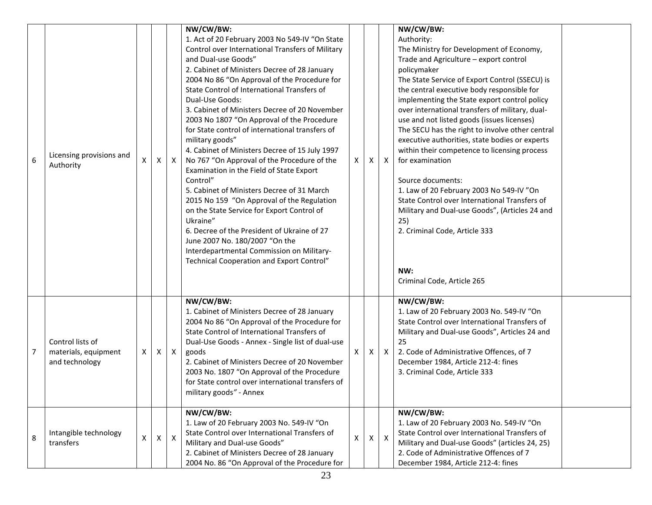|                |                                                            |                    |              |              | NW/CW/BW:<br>1. Act of 20 February 2003 No 549-IV "On State                                                                                                                                                                                                                                                                                                                                                                                                                                                                                                                                                                                                                                                                                                                                                                                                                                              |   |              |              | NW/CW/BW:<br>Authority:                                                                                                                                                                                                                                                                                                                                                                                                                                                                                                                                                                                                                                                                                                                                                     |  |
|----------------|------------------------------------------------------------|--------------------|--------------|--------------|----------------------------------------------------------------------------------------------------------------------------------------------------------------------------------------------------------------------------------------------------------------------------------------------------------------------------------------------------------------------------------------------------------------------------------------------------------------------------------------------------------------------------------------------------------------------------------------------------------------------------------------------------------------------------------------------------------------------------------------------------------------------------------------------------------------------------------------------------------------------------------------------------------|---|--------------|--------------|-----------------------------------------------------------------------------------------------------------------------------------------------------------------------------------------------------------------------------------------------------------------------------------------------------------------------------------------------------------------------------------------------------------------------------------------------------------------------------------------------------------------------------------------------------------------------------------------------------------------------------------------------------------------------------------------------------------------------------------------------------------------------------|--|
| 6              | Licensing provisions and<br>Authority                      | X                  | X            | $\mathsf{X}$ | Control over International Transfers of Military<br>and Dual-use Goods"<br>2. Cabinet of Ministers Decree of 28 January<br>2004 No 86 "On Approval of the Procedure for<br>State Control of International Transfers of<br>Dual-Use Goods:<br>3. Cabinet of Ministers Decree of 20 November<br>2003 No 1807 "On Approval of the Procedure<br>for State control of international transfers of<br>military goods"<br>4. Cabinet of Ministers Decree of 15 July 1997<br>No 767 "On Approval of the Procedure of the<br>Examination in the Field of State Export<br>Control"<br>5. Cabinet of Ministers Decree of 31 March<br>2015 No 159 "On Approval of the Regulation<br>on the State Service for Export Control of<br>Ukraine"<br>6. Decree of the President of Ukraine of 27<br>June 2007 No. 180/2007 "On the<br>Interdepartmental Commission on Military-<br>Technical Cooperation and Export Control" | X | X            | $\mathsf{X}$ | The Ministry for Development of Economy,<br>Trade and Agriculture - export control<br>policymaker<br>The State Service of Export Control (SSECU) is<br>the central executive body responsible for<br>implementing the State export control policy<br>over international transfers of military, dual-<br>use and not listed goods (issues licenses)<br>The SECU has the right to involve other central<br>executive authorities, state bodies or experts<br>within their competence to licensing process<br>for examination<br>Source documents:<br>1. Law of 20 February 2003 No 549-IV "On<br>State Control over International Transfers of<br>Military and Dual-use Goods", (Articles 24 and<br>25)<br>2. Criminal Code, Article 333<br>NW:<br>Criminal Code, Article 265 |  |
| $\overline{7}$ | Control lists of<br>materials, equipment<br>and technology | X                  | X            | $\mathsf{X}$ | NW/CW/BW:<br>1. Cabinet of Ministers Decree of 28 January<br>2004 No 86 "On Approval of the Procedure for<br>State Control of International Transfers of<br>Dual-Use Goods - Annex - Single list of dual-use<br>goods<br>2. Cabinet of Ministers Decree of 20 November<br>2003 No. 1807 "On Approval of the Procedure<br>for State control over international transfers of<br>military goods" - Annex                                                                                                                                                                                                                                                                                                                                                                                                                                                                                                    | X | Χ            | $\mathsf{X}$ | NW/CW/BW:<br>1. Law of 20 February 2003 No. 549-IV "On<br>State Control over International Transfers of<br>Military and Dual-use Goods", Articles 24 and<br>25<br>2. Code of Administrative Offences, of 7<br>December 1984, Article 212-4: fines<br>3. Criminal Code, Article 333                                                                                                                                                                                                                                                                                                                                                                                                                                                                                          |  |
| 8              | Intangible technology<br>transfers                         | $\pmb{\mathsf{X}}$ | $\mathsf{X}$ | $\mathsf{X}$ | NW/CW/BW:<br>1. Law of 20 February 2003 No. 549-IV "On<br>State Control over International Transfers of<br>Military and Dual-use Goods"<br>2. Cabinet of Ministers Decree of 28 January<br>2004 No. 86 "On Approval of the Procedure for                                                                                                                                                                                                                                                                                                                                                                                                                                                                                                                                                                                                                                                                 | X | $\mathsf{X}$ | $\mathsf{X}$ | NW/CW/BW:<br>1. Law of 20 February 2003 No. 549-IV "On<br>State Control over International Transfers of<br>Military and Dual-use Goods" (articles 24, 25)<br>2. Code of Administrative Offences of 7<br>December 1984, Article 212-4: fines                                                                                                                                                                                                                                                                                                                                                                                                                                                                                                                                 |  |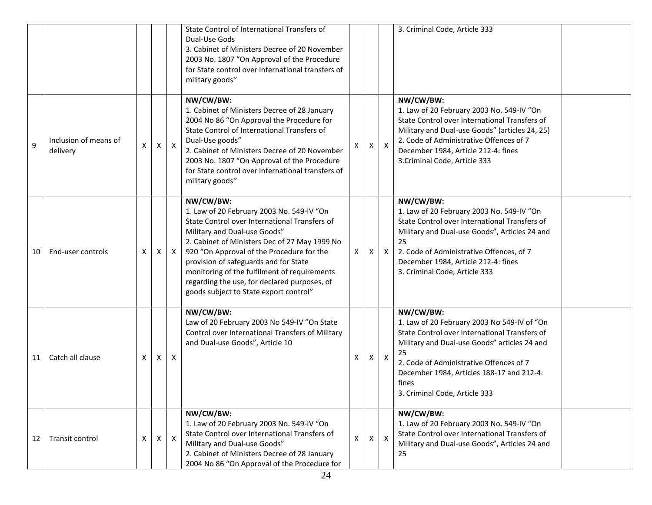|                |                                   |   |   |              | State Control of International Transfers of<br>Dual-Use Gods<br>3. Cabinet of Ministers Decree of 20 November<br>2003 No. 1807 "On Approval of the Procedure<br>for State control over international transfers of<br>military goods"                                                                                                                                                                                     |              |              |                           | 3. Criminal Code, Article 333                                                                                                                                                                                                                                                                     |
|----------------|-----------------------------------|---|---|--------------|--------------------------------------------------------------------------------------------------------------------------------------------------------------------------------------------------------------------------------------------------------------------------------------------------------------------------------------------------------------------------------------------------------------------------|--------------|--------------|---------------------------|---------------------------------------------------------------------------------------------------------------------------------------------------------------------------------------------------------------------------------------------------------------------------------------------------|
| $\overline{9}$ | Inclusion of means of<br>delivery | X | X | $\mathsf{X}$ | NW/CW/BW:<br>1. Cabinet of Ministers Decree of 28 January<br>2004 No 86 "On Approval the Procedure for<br>State Control of International Transfers of<br>Dual-Use goods"<br>2. Cabinet of Ministers Decree of 20 November<br>2003 No. 1807 "On Approval of the Procedure<br>for State control over international transfers of<br>military goods"                                                                         | X            | X            | $\boldsymbol{\mathsf{X}}$ | NW/CW/BW:<br>1. Law of 20 February 2003 No. 549-IV "On<br>State Control over International Transfers of<br>Military and Dual-use Goods" (articles 24, 25)<br>2. Code of Administrative Offences of 7<br>December 1984, Article 212-4: fines<br>3. Criminal Code, Article 333                      |
| 10             | End-user controls                 | X | X | $\mathsf{X}$ | NW/CW/BW:<br>1. Law of 20 February 2003 No. 549-IV "On<br>State Control over International Transfers of<br>Military and Dual-use Goods"<br>2. Cabinet of Ministers Dec of 27 May 1999 No<br>920 "On Approval of the Procedure for the<br>provision of safeguards and for State<br>monitoring of the fulfilment of requirements<br>regarding the use, for declared purposes, of<br>goods subject to State export control" | X            | X            | $\mathsf{X}$              | NW/CW/BW:<br>1. Law of 20 February 2003 No. 549-IV "On<br>State Control over International Transfers of<br>Military and Dual-use Goods", Articles 24 and<br>25<br>2. Code of Administrative Offences, of 7<br>December 1984, Article 212-4: fines<br>3. Criminal Code, Article 333                |
| 11             | Catch all clause                  | X | X | X            | NW/CW/BW:<br>Law of 20 February 2003 No 549-IV "On State<br>Control over International Transfers of Military<br>and Dual-use Goods", Article 10                                                                                                                                                                                                                                                                          | X            | X            | $\boldsymbol{X}$          | NW/CW/BW:<br>1. Law of 20 February 2003 No 549-IV of "On<br>State Control over International Transfers of<br>Military and Dual-use Goods" articles 24 and<br>25<br>2. Code of Administrative Offences of 7<br>December 1984, Articles 188-17 and 212-4:<br>tines<br>3. Criminal Code, Article 333 |
| 12             | Transit control                   | X | X | $\mathsf{X}$ | NW/CW/BW:<br>1. Law of 20 February 2003 No. 549-IV "On<br>State Control over International Transfers of<br>Military and Dual-use Goods"<br>2. Cabinet of Ministers Decree of 28 January<br>2004 No 86 "On Approval of the Procedure for                                                                                                                                                                                  | $\mathsf{x}$ | $\mathsf{x}$ | $\mathsf{X}$              | NW/CW/BW:<br>1. Law of 20 February 2003 No. 549-IV "On<br>State Control over International Transfers of<br>Military and Dual-use Goods", Articles 24 and<br>25                                                                                                                                    |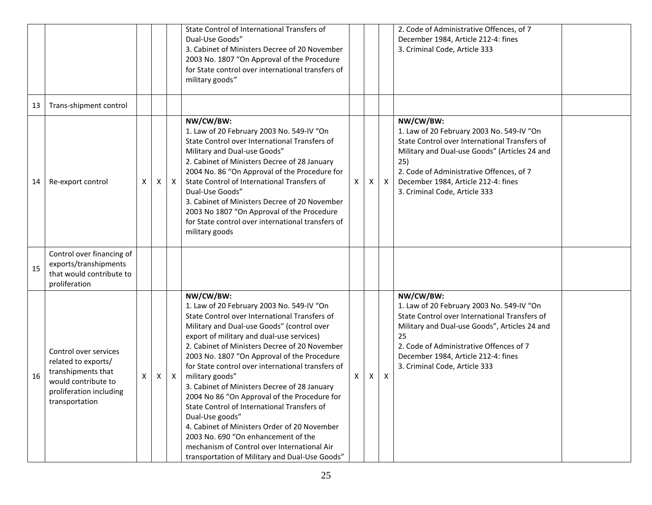|    |                                                                                                                                        |   |   |              | State Control of International Transfers of<br>Dual-Use Goods"<br>3. Cabinet of Ministers Decree of 20 November<br>2003 No. 1807 "On Approval of the Procedure<br>for State control over international transfers of<br>military goods"                                                                                                                                                                                                                                                                                                                                                                                                                                                                                               |   |   |                           | 2. Code of Administrative Offences, of 7<br>December 1984, Article 212-4: fines<br>3. Criminal Code, Article 333                                                                                                                                                                    |  |
|----|----------------------------------------------------------------------------------------------------------------------------------------|---|---|--------------|--------------------------------------------------------------------------------------------------------------------------------------------------------------------------------------------------------------------------------------------------------------------------------------------------------------------------------------------------------------------------------------------------------------------------------------------------------------------------------------------------------------------------------------------------------------------------------------------------------------------------------------------------------------------------------------------------------------------------------------|---|---|---------------------------|-------------------------------------------------------------------------------------------------------------------------------------------------------------------------------------------------------------------------------------------------------------------------------------|--|
| 13 | Trans-shipment control                                                                                                                 |   |   |              |                                                                                                                                                                                                                                                                                                                                                                                                                                                                                                                                                                                                                                                                                                                                      |   |   |                           |                                                                                                                                                                                                                                                                                     |  |
| 14 | Re-export control                                                                                                                      | X | Χ | $\mathsf{X}$ | NW/CW/BW:<br>1. Law of 20 February 2003 No. 549-IV "On<br>State Control over International Transfers of<br>Military and Dual-use Goods"<br>2. Cabinet of Ministers Decree of 28 January<br>2004 No. 86 "On Approval of the Procedure for<br>State Control of International Transfers of<br>Dual-Use Goods"<br>3. Cabinet of Ministers Decree of 20 November<br>2003 No 1807 "On Approval of the Procedure<br>for State control over international transfers of<br>military goods                                                                                                                                                                                                                                                     | X | X | $\boldsymbol{X}$          | NW/CW/BW:<br>1. Law of 20 February 2003 No. 549-IV "On<br>State Control over International Transfers of<br>Military and Dual-use Goods" (Articles 24 and<br>25)<br>2. Code of Administrative Offences, of 7<br>December 1984, Article 212-4: fines<br>3. Criminal Code, Article 333 |  |
| 15 | Control over financing of<br>exports/transhipments<br>that would contribute to<br>proliferation                                        |   |   |              |                                                                                                                                                                                                                                                                                                                                                                                                                                                                                                                                                                                                                                                                                                                                      |   |   |                           |                                                                                                                                                                                                                                                                                     |  |
| 16 | Control over services<br>related to exports/<br>transhipments that<br>would contribute to<br>proliferation including<br>transportation | X | X | $\mathsf{X}$ | NW/CW/BW:<br>1. Law of 20 February 2003 No. 549-IV "On<br>State Control over International Transfers of<br>Military and Dual-use Goods" (control over<br>export of military and dual-use services)<br>2. Cabinet of Ministers Decree of 20 November<br>2003 No. 1807 "On Approval of the Procedure<br>for State control over international transfers of<br>military goods"<br>3. Cabinet of Ministers Decree of 28 January<br>2004 No 86 "On Approval of the Procedure for<br>State Control of International Transfers of<br>Dual-Use goods"<br>4. Cabinet of Ministers Order of 20 November<br>2003 No. 690 "On enhancement of the<br>mechanism of Control over International Air<br>transportation of Military and Dual-Use Goods" | X | X | $\boldsymbol{\mathsf{X}}$ | NW/CW/BW:<br>1. Law of 20 February 2003 No. 549-IV "On<br>State Control over International Transfers of<br>Military and Dual-use Goods", Articles 24 and<br>25<br>2. Code of Administrative Offences of 7<br>December 1984, Article 212-4: fines<br>3. Criminal Code, Article 333   |  |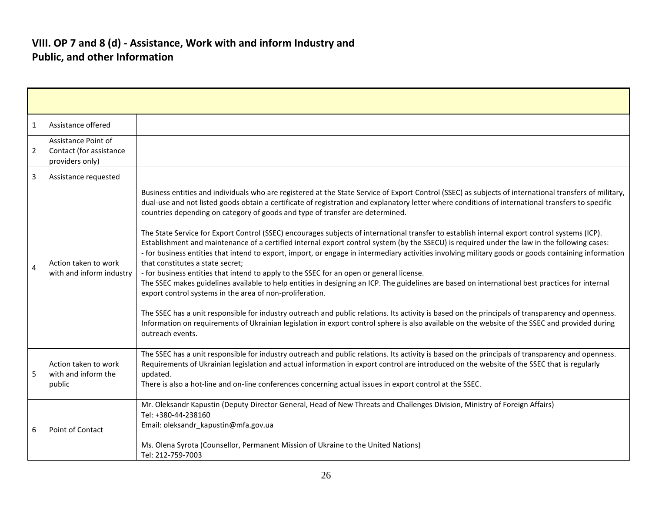#### **VIII. OP 7 and 8 (d) - Assistance, Work with and inform Industry and Public, and other Information**

| 1              | Assistance offered                                                |                                                                                                                                                                                                                                                                                                                                                                                                                                                                                                                                                                                                                                                                                                                                                                                                                                                                                                                                                                                                                                                                                                                                                                                                                                                                                                                                                                                                                                                                                                                                 |
|----------------|-------------------------------------------------------------------|---------------------------------------------------------------------------------------------------------------------------------------------------------------------------------------------------------------------------------------------------------------------------------------------------------------------------------------------------------------------------------------------------------------------------------------------------------------------------------------------------------------------------------------------------------------------------------------------------------------------------------------------------------------------------------------------------------------------------------------------------------------------------------------------------------------------------------------------------------------------------------------------------------------------------------------------------------------------------------------------------------------------------------------------------------------------------------------------------------------------------------------------------------------------------------------------------------------------------------------------------------------------------------------------------------------------------------------------------------------------------------------------------------------------------------------------------------------------------------------------------------------------------------|
| $\overline{2}$ | Assistance Point of<br>Contact (for assistance<br>providers only) |                                                                                                                                                                                                                                                                                                                                                                                                                                                                                                                                                                                                                                                                                                                                                                                                                                                                                                                                                                                                                                                                                                                                                                                                                                                                                                                                                                                                                                                                                                                                 |
| 3              | Assistance requested                                              |                                                                                                                                                                                                                                                                                                                                                                                                                                                                                                                                                                                                                                                                                                                                                                                                                                                                                                                                                                                                                                                                                                                                                                                                                                                                                                                                                                                                                                                                                                                                 |
| 4              | Action taken to work<br>with and inform industry                  | Business entities and individuals who are registered at the State Service of Export Control (SSEC) as subjects of international transfers of military,<br>dual-use and not listed goods obtain a certificate of registration and explanatory letter where conditions of international transfers to specific<br>countries depending on category of goods and type of transfer are determined.<br>The State Service for Export Control (SSEC) encourages subjects of international transfer to establish internal export control systems (ICP).<br>Establishment and maintenance of a certified internal export control system (by the SSECU) is required under the law in the following cases:<br>- for business entities that intend to export, import, or engage in intermediary activities involving military goods or goods containing information<br>that constitutes a state secret;<br>- for business entities that intend to apply to the SSEC for an open or general license.<br>The SSEC makes guidelines available to help entities in designing an ICP. The guidelines are based on international best practices for internal<br>export control systems in the area of non-proliferation.<br>The SSEC has a unit responsible for industry outreach and public relations. Its activity is based on the principals of transparency and openness.<br>Information on requirements of Ukrainian legislation in export control sphere is also available on the website of the SSEC and provided during<br>outreach events. |
| 5              | Action taken to work<br>with and inform the<br>public             | The SSEC has a unit responsible for industry outreach and public relations. Its activity is based on the principals of transparency and openness.<br>Requirements of Ukrainian legislation and actual information in export control are introduced on the website of the SSEC that is regularly<br>updated.<br>There is also a hot-line and on-line conferences concerning actual issues in export control at the SSEC.                                                                                                                                                                                                                                                                                                                                                                                                                                                                                                                                                                                                                                                                                                                                                                                                                                                                                                                                                                                                                                                                                                         |
| 6              | Point of Contact                                                  | Mr. Oleksandr Kapustin (Deputy Director General, Head of New Threats and Challenges Division, Ministry of Foreign Affairs)<br>Tel: +380-44-238160<br>Email: oleksandr_kapustin@mfa.gov.ua<br>Ms. Olena Syrota (Counsellor, Permanent Mission of Ukraine to the United Nations)<br>Tel: 212-759-7003                                                                                                                                                                                                                                                                                                                                                                                                                                                                                                                                                                                                                                                                                                                                                                                                                                                                                                                                                                                                                                                                                                                                                                                                                             |